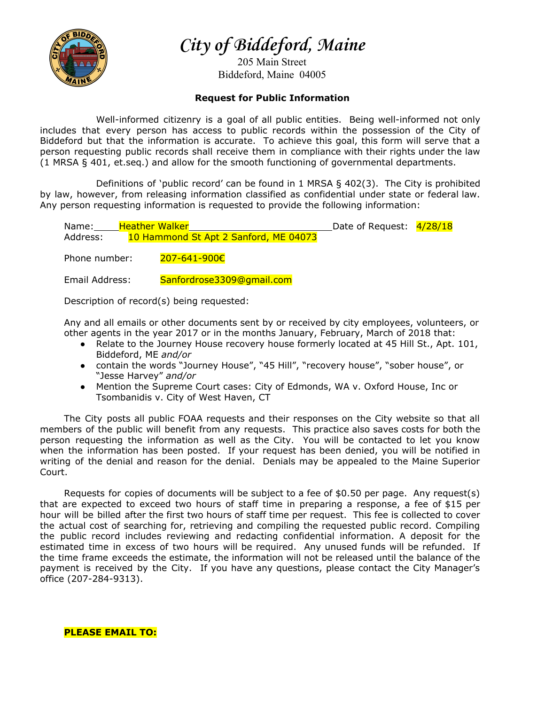

**City of Biddeford, Maine**

205 Main Street Biddeford, Maine 04005

## **Request for Public Information**

Well-informed citizenry is a goal of all public entities. Being well-informed not only includes that every person has access to public records within the possession of the City of Biddeford but that the information is accurate. To achieve this goal, this form will serve that a person requesting public records shall receive them in compliance with their rights under the law (1 MRSA § 401, et.seq.) and allow for the smooth functioning of governmental departments.

Definitions of 'public record' can be found in 1 MRSA  $\S$  402(3). The City is prohibited by law, however, from releasing information classified as confidential under state or federal law. Any person requesting information is requested to provide the following information:

| Name:         | <b>Heather Walker</b>                 | Date of Request: $4/28/18$ |  |
|---------------|---------------------------------------|----------------------------|--|
| Address:      | 10 Hammond St Apt 2 Sanford, ME 04073 |                            |  |
|               |                                       |                            |  |
| Phone number: | 207-641-900€                          |                            |  |

Email Address: Sanfordrose3309@gmail.com

Description of record(s) being requested:

Any and all emails or other documents sent by or received by city employees, volunteers, or other agents in the year 2017 or in the months January, February, March of 2018 that:

- Relate to the Journey House recovery house formerly located at 45 Hill St., Apt. 101, Biddeford, ME *and/or*
- contain the words "Journey House", "45 Hill", "recovery house", "sober house", or "Jesse Harvey" *and/or*
- Mention the Supreme Court cases: City of Edmonds, WA v. Oxford House, Inc or Tsombanidis v. City of West Haven, CT

The City posts all public FOAA requests and their responses on the City website so that all members of the public will benefit from any requests. This practice also saves costs for both the person requesting the information as well as the City. You will be contacted to let you know when the information has been posted. If your request has been denied, you will be notified in writing of the denial and reason for the denial. Denials may be appealed to the Maine Superior Court.

Requests for copies of documents will be subject to a fee of \$0.50 per page. Any request(s) that are expected to exceed two hours of staff time in preparing a response, a fee of \$15 per hour will be billed after the first two hours of staff time per request. This fee is collected to cover the actual cost of searching for, retrieving and compiling the requested public record. Compiling the public record includes reviewing and redacting confidential information. A deposit for the estimated time in excess of two hours will be required. Any unused funds will be refunded. If the time frame exceeds the estimate, the information will not be released until the balance of the payment is received by the City. If you have any questions, please contact the City Manager's office (207-284-9313).

**PLEASE EMAIL TO:**